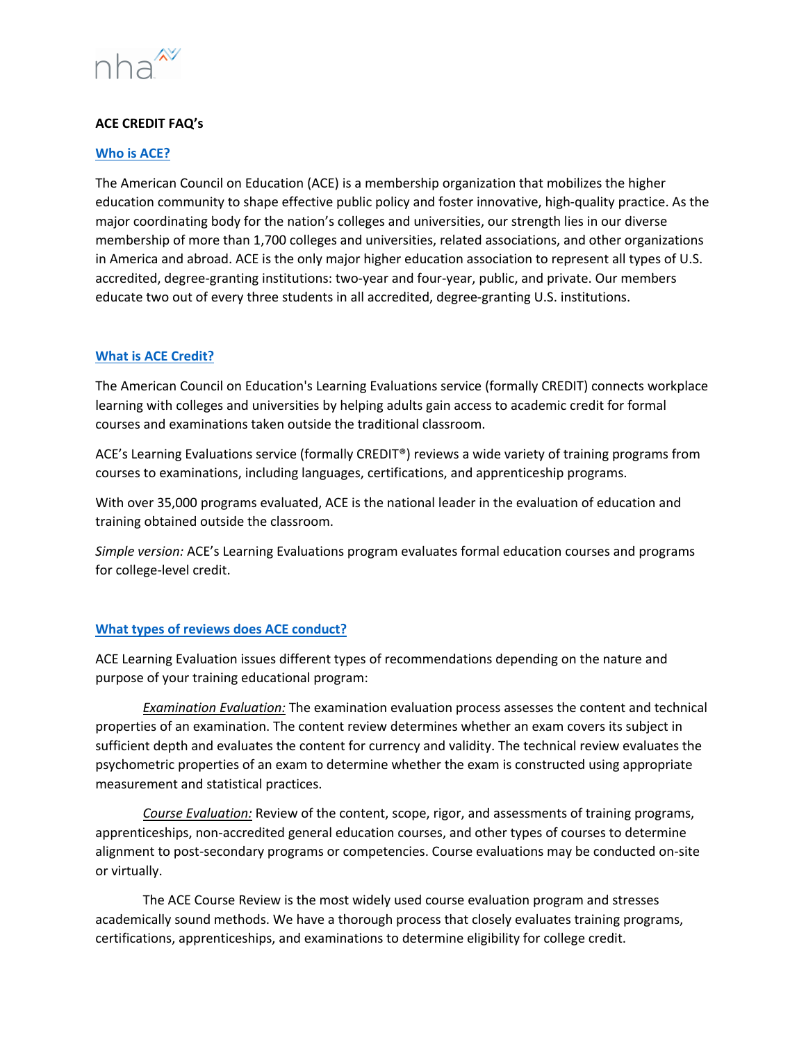

# **ACE CREDIT FAQ's**

## **Who is ACE?**

The American Council on Education (ACE) is a membership organization that mobilizes the higher education community to shape effective public policy and foster innovative, high-quality practice. As the major coordinating body for the nation's colleges and universities, our strength lies in our diverse membership of more than 1,700 colleges and universities, related associations, and other organizations in America and abroad. ACE is the only major higher education association to represent all types of U.S. accredited, degree-granting institutions: two-year and four-year, public, and private. Our members educate two out of every three students in all accredited, degree-granting U.S. institutions.

# **What is ACE Credit?**

The American Council on Education's Learning Evaluations service (formally CREDIT) connects workplace learning with colleges and universities by helping adults gain access to academic credit for formal courses and examinations taken outside the traditional classroom.

ACE's Learning Evaluations service (formally CREDIT®) reviews a wide variety of training programs from courses to examinations, including languages, certifications, and apprenticeship programs.

With over 35,000 programs evaluated, ACE is the national leader in the evaluation of education and training obtained outside the classroom.

*Simple version:* ACE's Learning Evaluations program evaluates formal education courses and programs for college-level credit.

# **What types of reviews does ACE conduct?**

ACE Learning Evaluation issues different types of recommendations depending on the nature and purpose of your training educational program:

*Examination Evaluation:* The examination evaluation process assesses the content and technical properties of an examination. The content review determines whether an exam covers its subject in sufficient depth and evaluates the content for currency and validity. The technical review evaluates the psychometric properties of an exam to determine whether the exam is constructed using appropriate measurement and statistical practices.

*Course Evaluation:* Review of the content, scope, rigor, and assessments of training programs, apprenticeships, non-accredited general education courses, and other types of courses to determine alignment to post-secondary programs or competencies. Course evaluations may be conducted on-site or virtually.

The ACE Course Review is the most widely used course evaluation program and stresses academically sound methods. We have a thorough process that closely evaluates training programs, certifications, apprenticeships, and examinations to determine eligibility for college credit.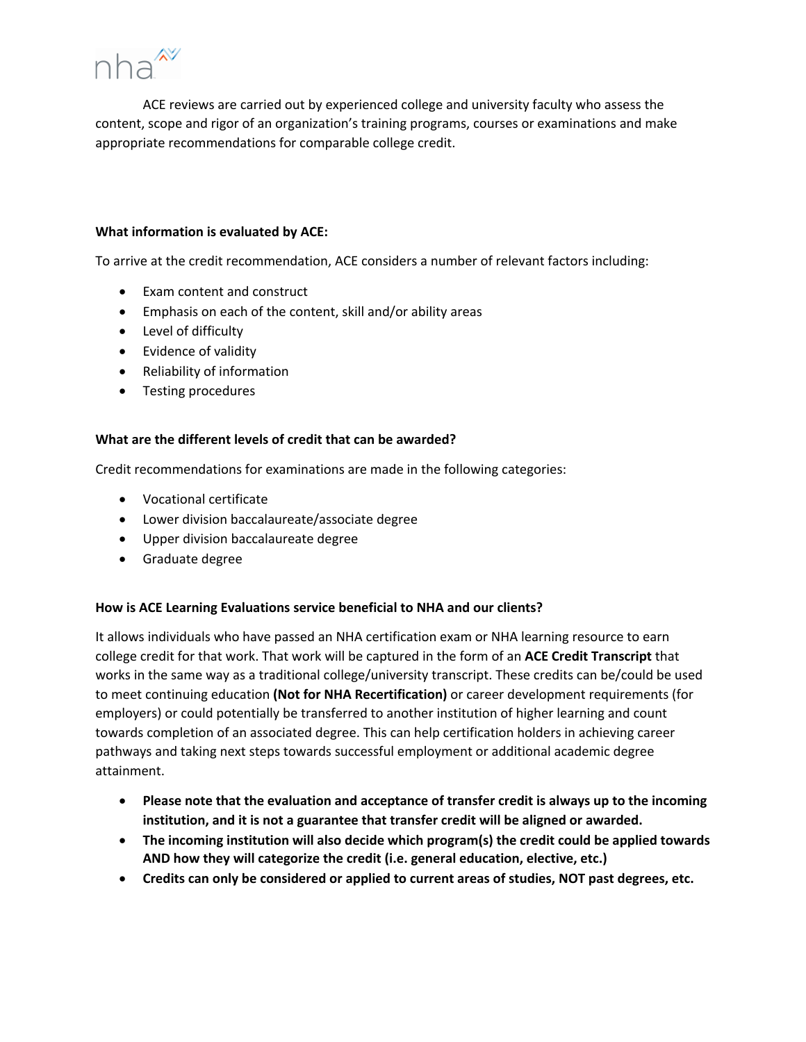

ACE reviews are carried out by experienced college and university faculty who assess the content, scope and rigor of an organization's training programs, courses or examinations and make appropriate recommendations for comparable college credit.

## **What information is evaluated by ACE:**

To arrive at the credit recommendation, ACE considers a number of relevant factors including:

- Exam content and construct
- Emphasis on each of the content, skill and/or ability areas
- Level of difficulty
- Evidence of validity
- Reliability of information
- Testing procedures

### **What are the different levels of credit that can be awarded?**

Credit recommendations for examinations are made in the following categories:

- Vocational certificate
- Lower division baccalaureate/associate degree
- Upper division baccalaureate degree
- Graduate degree

# **How is ACE Learning Evaluations service beneficial to NHA and our clients?**

It allows individuals who have passed an NHA certification exam or NHA learning resource to earn college credit for that work. That work will be captured in the form of an **ACE Credit Transcript** that works in the same way as a traditional college/university transcript. These credits can be/could be used to meet continuing education **(Not for NHA Recertification)** or career development requirements (for employers) or could potentially be transferred to another institution of higher learning and count towards completion of an associated degree. This can help certification holders in achieving career pathways and taking next steps towards successful employment or additional academic degree attainment.

- **Please note that the evaluation and acceptance of transfer credit is always up to the incoming institution, and it is not a guarantee that transfer credit will be aligned or awarded.**
- **The incoming institution will also decide which program(s) the credit could be applied towards AND how they will categorize the credit (i.e. general education, elective, etc.)**
- **Credits can only be considered or applied to current areas of studies, NOT past degrees, etc.**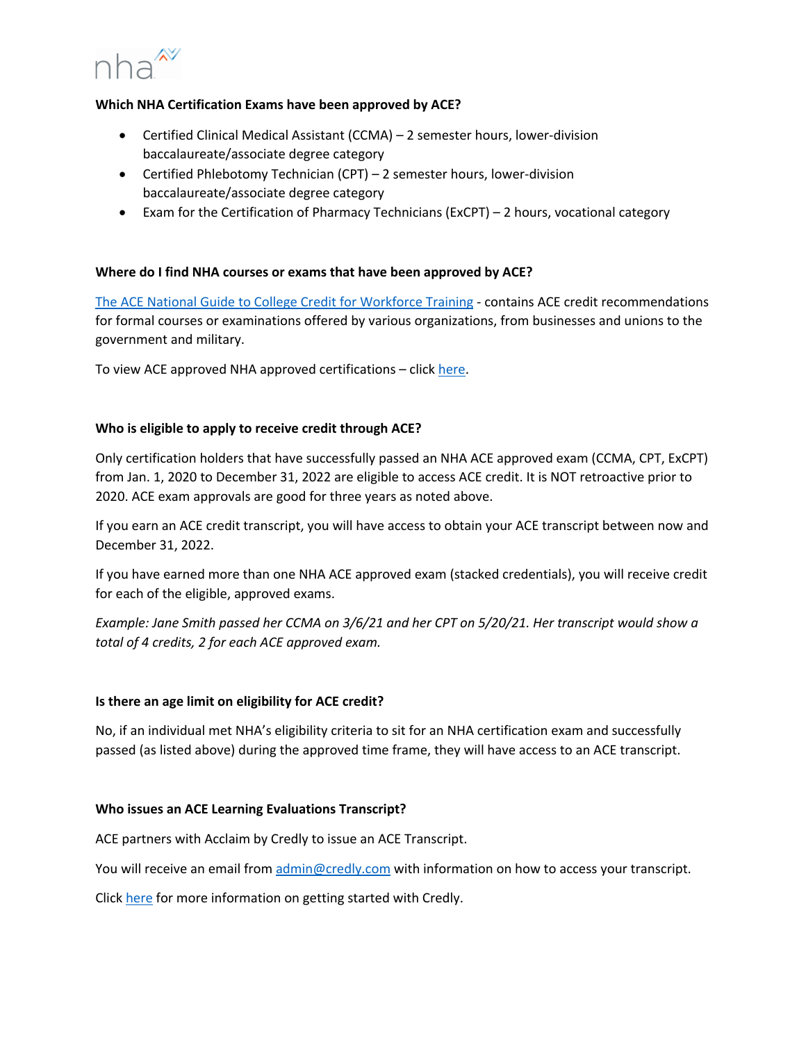

## **Which NHA Certification Exams have been approved by ACE?**

- Certified Clinical Medical Assistant (CCMA) 2 semester hours, lower-division baccalaureate/associate degree category
- Certified Phlebotomy Technician (CPT) 2 semester hours, lower-division baccalaureate/associate degree category
- Exam for the Certification of Pharmacy Technicians (ExCPT) 2 hours, vocational category

### **Where do I find NHA courses or exams that have been approved by ACE?**

The ACE National Guide to College Credit for Workforce Training - contains ACE credit recommendations for formal courses or examinations offered by various organizations, from businesses and unions to the government and military.

To view ACE approved NHA approved certifications – click here.

### **Who is eligible to apply to receive credit through ACE?**

Only certification holders that have successfully passed an NHA ACE approved exam (CCMA, CPT, ExCPT) from Jan. 1, 2020 to December 31, 2022 are eligible to access ACE credit. It is NOT retroactive prior to 2020. ACE exam approvals are good for three years as noted above.

If you earn an ACE credit transcript, you will have access to obtain your ACE transcript between now and December 31, 2022.

If you have earned more than one NHA ACE approved exam (stacked credentials), you will receive credit for each of the eligible, approved exams.

*Example: Jane Smith passed her CCMA on 3/6/21 and her CPT on 5/20/21. Her transcript would show a total of 4 credits, 2 for each ACE approved exam.* 

#### **Is there an age limit on eligibility for ACE credit?**

No, if an individual met NHA's eligibility criteria to sit for an NHA certification exam and successfully passed (as listed above) during the approved time frame, they will have access to an ACE transcript.

#### **Who issues an ACE Learning Evaluations Transcript?**

ACE partners with Acclaim by Credly to issue an ACE Transcript.

You will receive an email from admin@credly.com with information on how to access your transcript.

Click here for more information on getting started with Credly.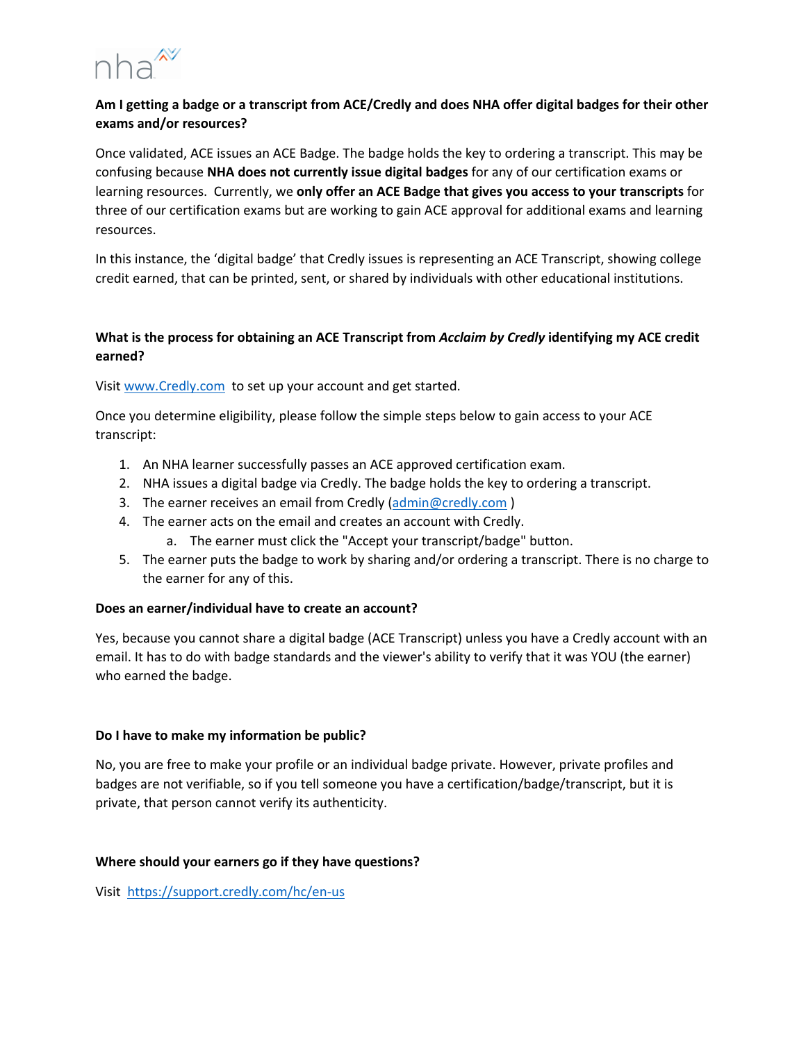

# **Am I getting a badge or a transcript from ACE/Credly and does NHA offer digital badges for their other exams and/or resources?**

Once validated, ACE issues an ACE Badge. The badge holds the key to ordering a transcript. This may be confusing because **NHA does not currently issue digital badges** for any of our certification exams or learning resources. Currently, we **only offer an ACE Badge that gives you access to your transcripts** for three of our certification exams but are working to gain ACE approval for additional exams and learning resources.

In this instance, the 'digital badge' that Credly issues is representing an ACE Transcript, showing college credit earned, that can be printed, sent, or shared by individuals with other educational institutions.

# **What is the process for obtaining an ACE Transcript from** *Acclaim by Credly* **identifying my ACE credit earned?**

Visit www.Credly.com to set up your account and get started.

Once you determine eligibility, please follow the simple steps below to gain access to your ACE transcript:

- 1. An NHA learner successfully passes an ACE approved certification exam.
- 2. NHA issues a digital badge via Credly. The badge holds the key to ordering a transcript.
- 3. The earner receives an email from Credly (admin@credly.com)
- 4. The earner acts on the email and creates an account with Credly.
	- a. The earner must click the "Accept your transcript/badge" button.
- 5. The earner puts the badge to work by sharing and/or ordering a transcript. There is no charge to the earner for any of this.

# **Does an earner/individual have to create an account?**

Yes, because you cannot share a digital badge (ACE Transcript) unless you have a Credly account with an email. It has to do with badge standards and the viewer's ability to verify that it was YOU (the earner) who earned the badge.

# **Do I have to make my information be public?**

No, you are free to make your profile or an individual badge private. However, private profiles and badges are not verifiable, so if you tell someone you have a certification/badge/transcript, but it is private, that person cannot verify its authenticity.

#### **Where should your earners go if they have questions?**

Visit https://support.credly.com/hc/en-us